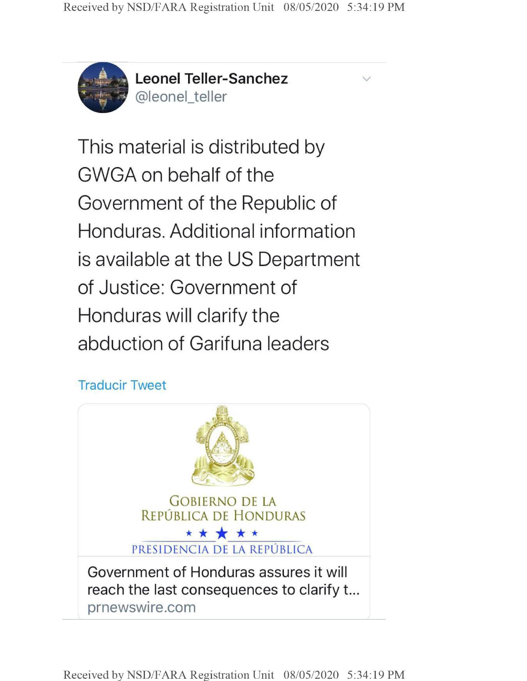

**Leonel Teller-Sanchez** @leonel\_teller

This material is distributed by GWGA on behalf of the Government of the Republic of Honduras. Additional information is available at the US Department of Justice: Government of Honduras will clarify the abduction of Garifuna leaders

## Traducir Tweet



**Received by NSD/FARA Registration Unit 08/05/2020 5:34:19 PM**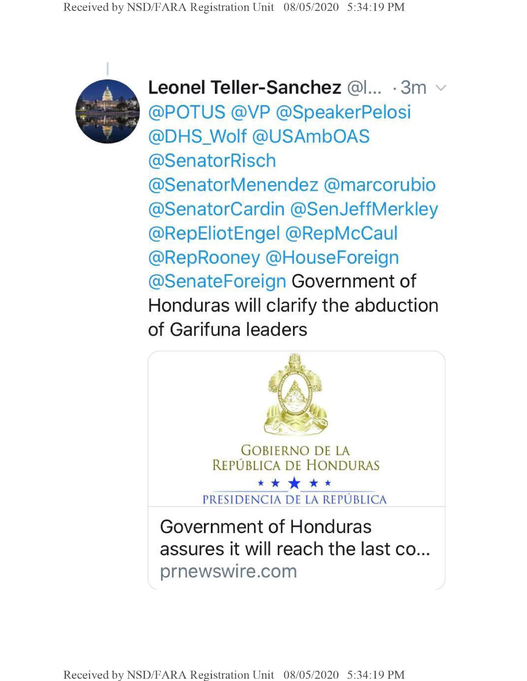

**Leonel Teller-Sanchez** @**1**... • **3m** @POTUS @VP @SpeakerPelosi @DHS\_Wolf @USAmbOAS @SenatorRisch @SenatorMenendez @marcorubio @SenatorCardin @SenJeffMerkley @RepEliotEngel @RepMcCaul @RepRooney @HouseForeign @SenateForeign Government of Honduras will clarify the abduction of Garifuna leaders

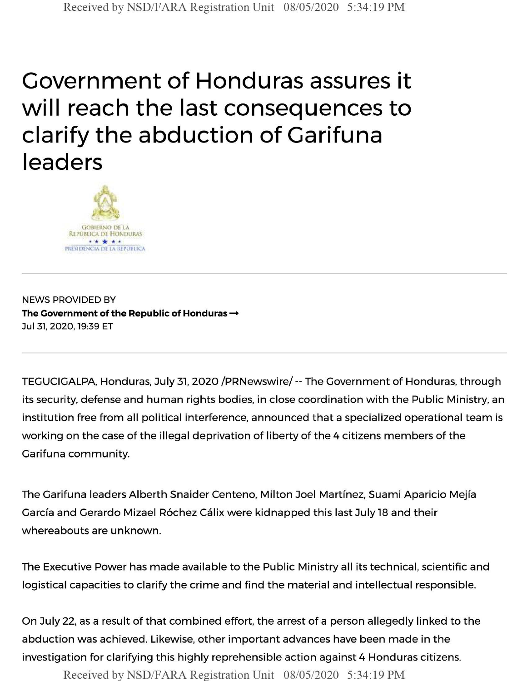## Government of Honduras assures it will reach the last consequences to clarify the abduction of Garifuna leaders



NEWS PROVIDED BY **The Government of the Republic of Honduras —** Jul 31, 2020,19:39 ET

TEGUCIGALPA, Honduras, July 31, 2020 /PRNewswire/ -- The Government of Honduras, through its security, defense and human rights bodies, in close coordination with the Public Ministry, an institution free from all political interference, announced that a specialized operational team is working on the case of the illegal deprivation of liberty of the 4 citizens members of the Garifuna community.

The Garifuna leaders Alberth Snaider Centeno, Milton Joel Martinez, Suami Aparicio Mejia García and Gerardo Mizael Róchez Cálix were kidnapped this last July 18 and their whereabouts are unknown.

The Executive Power has made available to the Public Ministry all its technical, scientific and logistical capacities to clarify the crime and find the material and intellectual responsible.

On July 22, as a result of that combined effort, the arrest of a person allegedly linked to the abduction was achieved. Likewise, other important advances have been made in the investigation for clarifying this highly reprehensible action against 4 Honduras citizens.

Received by NSD/FARA Registration Unit 08/05/2020 5:34:19 PM